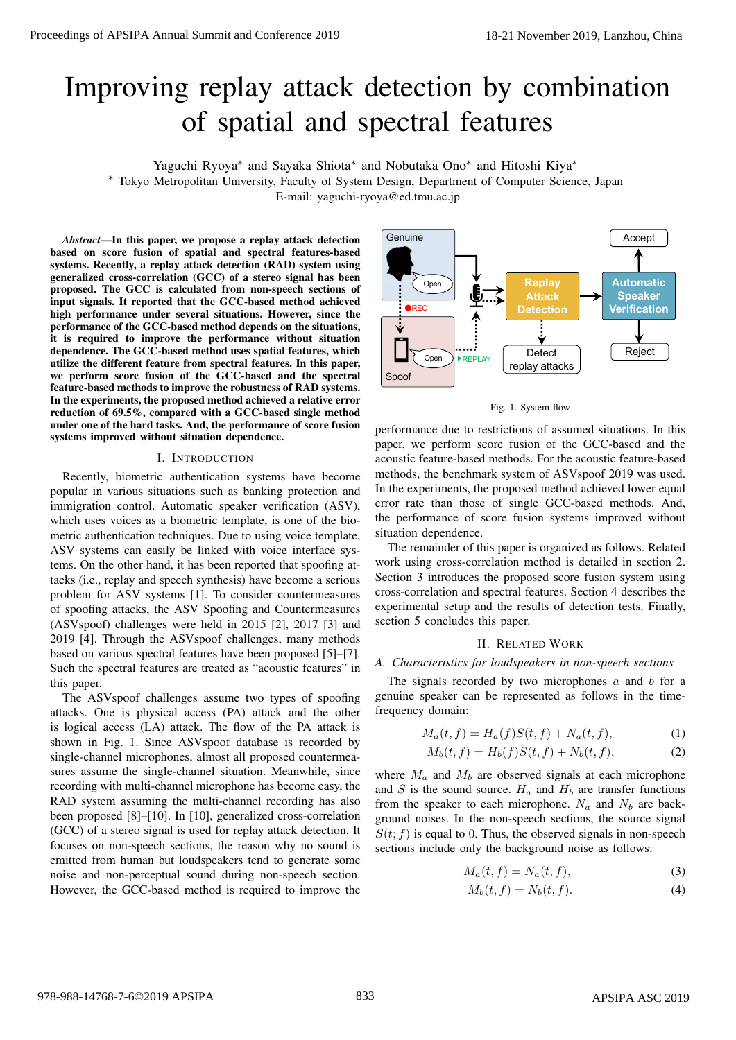# Improving replay attack detection by combination of spatial and spectral features

Yaguchi Ryoya*∗* and Sayaka Shiota*∗* and Nobutaka Ono*∗* and Hitoshi Kiya*∗*

*∗* Tokyo Metropolitan University, Faculty of System Design, Department of Computer Science, Japan

E-mail: yaguchi-ryoya@ed.tmu.ac.jp

*Abstract*—In this paper, we propose a replay attack detection based on score fusion of spatial and spectral features-based systems. Recently, a replay attack detection (RAD) system using generalized cross-correlation (GCC) of a stereo signal has been proposed. The GCC is calculated from non-speech sections of input signals. It reported that the GCC-based method achieved high performance under several situations. However, since the performance of the GCC-based method depends on the situations, it is required to improve the performance without situation dependence. The GCC-based method uses spatial features, which utilize the different feature from spectral features. In this paper, we perform score fusion of the GCC-based and the spectral feature-based methods to improve the robustness of RAD systems. In the experiments, the proposed method achieved a relative error reduction of 69.5%, compared with a GCC-based single method under one of the hard tasks. And, the performance of score fusion systems improved without situation dependence.

#### I. INTRODUCTION

Recently, biometric authentication systems have become popular in various situations such as banking protection and immigration control. Automatic speaker verification (ASV), which uses voices as a biometric template, is one of the biometric authentication techniques. Due to using voice template, ASV systems can easily be linked with voice interface systems. On the other hand, it has been reported that spoofing attacks (i.e., replay and speech synthesis) have become a serious problem for ASV systems [1]. To consider countermeasures of spoofing attacks, the ASV Spoofing and Countermeasures (ASVspoof) challenges were held in 2015 [2], 2017 [3] and 2019 [4]. Through the ASVspoof challenges, many methods based on various spectral features have been proposed [5]–[7]. Such the spectral features are treated as "acoustic features" in this paper. From the conference 2018 applies the conference 2018. The conference 2019 applies the conference 2019 applies to the conference 2019 applies to the conference 2019 applies to the conference 2019 applies to the conference

The ASVspoof challenges assume two types of spoofing attacks. One is physical access (PA) attack and the other is logical access (LA) attack. The flow of the PA attack is shown in Fig. 1. Since ASVspoof database is recorded by single-channel microphones, almost all proposed countermeasures assume the single-channel situation. Meanwhile, since recording with multi-channel microphone has become easy, the RAD system assuming the multi-channel recording has also been proposed [8]–[10]. In [10], generalized cross-correlation (GCC) of a stereo signal is used for replay attack detection. It focuses on non-speech sections, the reason why no sound is emitted from human but loudspeakers tend to generate some noise and non-perceptual sound during non-speech section. However, the GCC-based method is required to improve the



Fig. 1. System flow

performance due to restrictions of assumed situations. In this paper, we perform score fusion of the GCC-based and the acoustic feature-based methods. For the acoustic feature-based methods, the benchmark system of ASVspoof 2019 was used. In the experiments, the proposed method achieved lower equal error rate than those of single GCC-based methods. And, the performance of score fusion systems improved without situation dependence.

The remainder of this paper is organized as follows. Related work using cross-correlation method is detailed in section 2. Section 3 introduces the proposed score fusion system using cross-correlation and spectral features. Section 4 describes the experimental setup and the results of detection tests. Finally, section 5 concludes this paper.

#### II. RELATED WORK

## *A. Characteristics for loudspeakers in non-speech sections*

The signals recorded by two microphones *a* and *b* for a genuine speaker can be represented as follows in the timefrequency domain:

$$
M_a(t, f) = H_a(f)S(t, f) + N_a(t, f),
$$
\n(1)

$$
M_b(t, f) = H_b(f)S(t, f) + N_b(t, f),
$$
\n(2)

where  $M_a$  and  $M_b$  are observed signals at each microphone and *S* is the sound source.  $H_a$  and  $H_b$  are transfer functions from the speaker to each microphone.  $N_a$  and  $N_b$  are background noises. In the non-speech sections, the source signal  $S(t; f)$  is equal to 0. Thus, the observed signals in non-speech sections include only the background noise as follows:

$$
M_a(t,f) = N_a(t,f),\tag{3}
$$

$$
M_b(t, f) = N_b(t, f). \tag{4}
$$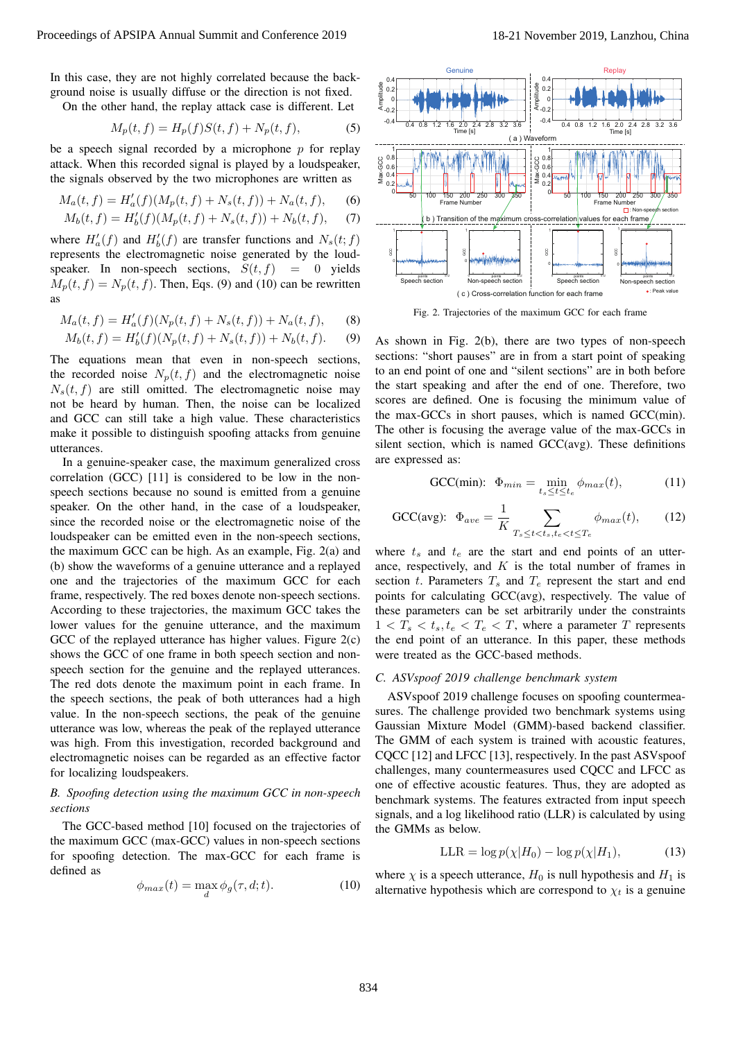In this case, they are not highly correlated because the background noise is usually diffuse or the direction is not fixed. On the other hand, the replay attack case is different. Let

$$
M_p(t, f) = H_p(f)S(t, f) + N_p(t, f),
$$
 (5)

be a speech signal recorded by a microphone *p* for replay attack. When this recorded signal is played by a loudspeaker, the signals observed by the two microphones are written as

$$
M_a(t,f) = H'_a(f)(M_p(t,f) + N_s(t,f)) + N_a(t,f), \quad (6)
$$

$$
M_b(t, f) = H'_b(f)(M_p(t, f) + N_s(t, f)) + N_b(t, f), \tag{7}
$$

where  $H'_{a}(f)$  and  $H'_{b}(f)$  are transfer functions and  $N_{s}(t; f)$ represents the electromagnetic noise generated by the loudspeaker. In non-speech sections,  $S(t, f) = 0$  yields  $M_p(t, f) = N_p(t, f)$ . Then, Eqs. (9) and (10) can be rewritten as

$$
M_a(t, f) = H'_a(f)(N_p(t, f) + N_s(t, f)) + N_a(t, f), \tag{8}
$$

$$
M_b(t, f) = H'_b(f)(N_p(t, f) + N_s(t, f)) + N_b(t, f). \tag{9}
$$

The equations mean that even in non-speech sections, the recorded noise  $N_p(t, f)$  and the electromagnetic noise  $N_s(t, f)$  are still omitted. The electromagnetic noise may not be heard by human. Then, the noise can be localized and GCC can still take a high value. These characteristics make it possible to distinguish spoofing attacks from genuine utterances.

In a genuine-speaker case, the maximum generalized cross correlation (GCC) [11] is considered to be low in the nonspeech sections because no sound is emitted from a genuine speaker. On the other hand, in the case of a loudspeaker, since the recorded noise or the electromagnetic noise of the loudspeaker can be emitted even in the non-speech sections, the maximum GCC can be high. As an example, Fig. 2(a) and (b) show the waveforms of a genuine utterance and a replayed one and the trajectories of the maximum GCC for each frame, respectively. The red boxes denote non-speech sections. According to these trajectories, the maximum GCC takes the lower values for the genuine utterance, and the maximum GCC of the replayed utterance has higher values. Figure 2(c) shows the GCC of one frame in both speech section and nonspeech section for the genuine and the replayed utterances. The red dots denote the maximum point in each frame. In the speech sections, the peak of both utterances had a high value. In the non-speech sections, the peak of the genuine utterance was low, whereas the peak of the replayed utterance was high. From this investigation, recorded background and electromagnetic noises can be regarded as an effective factor for localizing loudspeakers. Proceedings of APSIPA Annual Summit and Conference 2019<br>
In this case, the year of Eq. (a)  $\frac{1}{2}$ <br>
For the state of the year of Eq. (a)  $\frac{1}{2}$ <br>
For the state of the year of Eq. (b)  $\frac{1}{2}$ <br>
Summit and Conference 2

## *B. Spoofing detection using the maximum GCC in non-speech sections*

The GCC-based method [10] focused on the trajectories of the maximum GCC (max-GCC) values in non-speech sections for spoofing detection. The max-GCC for each frame is defined as

$$
\phi_{max}(t) = \max_{d} \phi_g(\tau, d; t). \tag{10}
$$





Fig. 2. Trajectories of the maximum GCC for each frame

As shown in Fig. 2(b), there are two types of non-speech sections: "short pauses" are in from a start point of speaking to an end point of one and "silent sections" are in both before the start speaking and after the end of one. Therefore, two scores are defined. One is focusing the minimum value of the max-GCCs in short pauses, which is named GCC(min). The other is focusing the average value of the max-GCCs in silent section, which is named GCC(avg). These definitions are expressed as:

$$
\text{GCC}(min): \ \Phi_{min} = \min_{t_s \le t \le t_e} \phi_{max}(t), \tag{11}
$$

$$
\text{GCC(avg):} \ \ \Phi_{ave} = \frac{1}{K} \sum_{T_s \le t < t_s, t_e < t \le T_e} \phi_{max}(t), \tag{12}
$$

where  $t_s$  and  $t_e$  are the start and end points of an utterance, respectively, and *K* is the total number of frames in section *t*. Parameters  $T_s$  and  $T_e$  represent the start and end points for calculating GCC(avg), respectively. The value of these parameters can be set arbitrarily under the constraints  $1 < T_s < t_s, t_e < T_e < T$ , where a parameter *T* represents the end point of an utterance. In this paper, these methods were treated as the GCC-based methods.

#### *C. ASVspoof 2019 challenge benchmark system*

ASVspoof 2019 challenge focuses on spoofing countermeasures. The challenge provided two benchmark systems using Gaussian Mixture Model (GMM)-based backend classifier. The GMM of each system is trained with acoustic features, CQCC [12] and LFCC [13], respectively. In the past ASVspoof challenges, many countermeasures used CQCC and LFCC as one of effective acoustic features. Thus, they are adopted as benchmark systems. The features extracted from input speech signals, and a log likelihood ratio (LLR) is calculated by using the GMMs as below.

$$
LLR = \log p(\chi|H_0) - \log p(\chi|H_1), \tag{13}
$$

where  $\chi$  is a speech utterance,  $H_0$  is null hypothesis and  $H_1$  is alternative hypothesis which are correspond to  $\chi_t$  is a genuine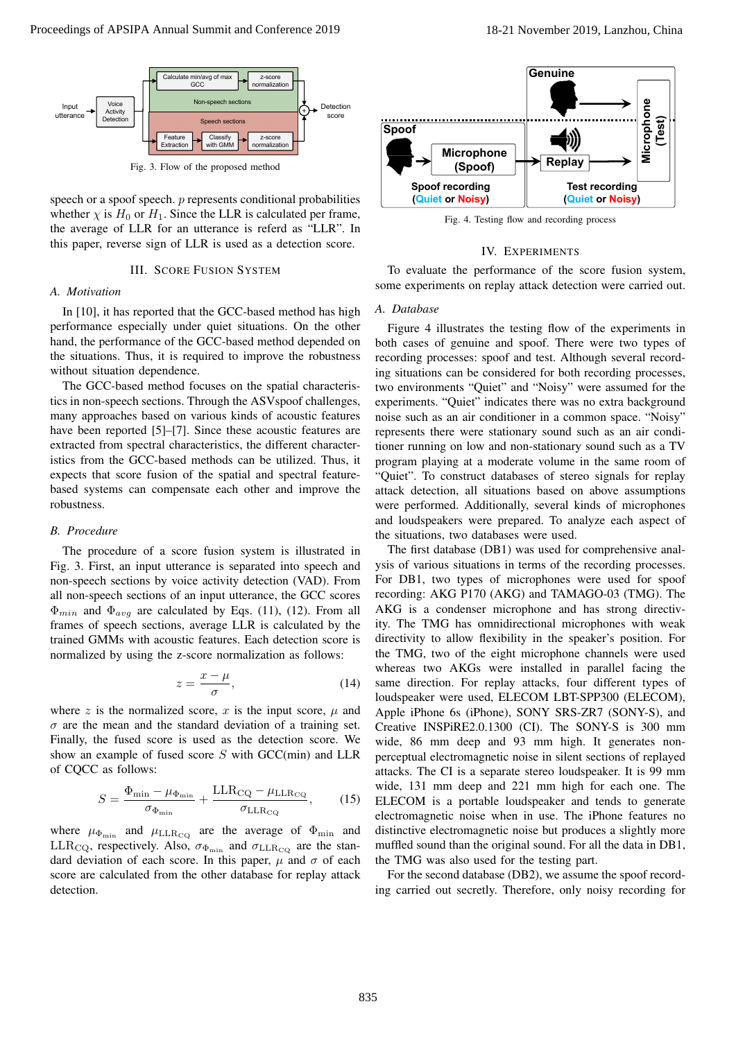

speech or a spoof speech. *p* represents conditional probabilities whether  $\chi$  is  $H_0$  or  $H_1$ . Since the LLR is calculated per frame, the average of LLR for an utterance is referd as "LLR". In this paper, reverse sign of LLR is used as a detection score.

### III. SCORE FUSION SYSTEM

## *A. Motivation*

In [10], it has reported that the GCC-based method has high performance especially under quiet situations. On the other hand, the performance of the GCC-based method depended on the situations. Thus, it is required to improve the robustness without situation dependence.

The GCC-based method focuses on the spatial characteristics in non-speech sections. Through the ASVspoof challenges, many approaches based on various kinds of acoustic features have been reported [5]–[7]. Since these acoustic features are extracted from spectral characteristics, the different characteristics from the GCC-based methods can be utilized. Thus, it expects that score fusion of the spatial and spectral featurebased systems can compensate each other and improve the robustness.

#### *B. Procedure*

The procedure of a score fusion system is illustrated in Fig. 3. First, an input utterance is separated into speech and non-speech sections by voice activity detection (VAD). From all non-speech sections of an input utterance, the GCC scores Φ*min* and Φ*avg* are calculated by Eqs. (11), (12). From all frames of speech sections, average LLR is calculated by the trained GMMs with acoustic features. Each detection score is normalized by using the z-score normalization as follows:

$$
z = \frac{x - \mu}{\sigma},\tag{14}
$$

where  $z$  is the normalized score,  $x$  is the input score,  $\mu$  and  $\sigma$  are the mean and the standard deviation of a training set. Finally, the fused score is used as the detection score. We show an example of fused score *S* with GCC(min) and LLR of CQCC as follows:

$$
S = \frac{\Phi_{\min} - \mu_{\Phi_{\min}}}{\sigma_{\Phi_{\min}}} + \frac{\text{LLR}_{\text{CQ}} - \mu_{\text{LLR}_{\text{CQ}}}}{\sigma_{\text{LLR}_{\text{CQ}}}},\qquad(15)
$$

where  $\mu_{\Phi_{\min}}$  and  $\mu_{\text{LLR}_{\text{CQ}}}$  are the average of  $\Phi_{\min}$  and LLR<sub>CQ</sub>, respectively. Also,  $\sigma_{\Phi_{\min}}$  and  $\sigma_{\text{LLR}_{\text{CQ}}}$  are the standard deviation of each score. In this paper,  $\mu$  and  $\sigma$  of each score are calculated from the other database for replay attack detection.



Fig. 4. Testing flow and recording process

#### IV. EXPERIMENTS

To evaluate the performance of the score fusion system, some experiments on replay attack detection were carried out.

#### *A. Database*

Figure 4 illustrates the testing flow of the experiments in both cases of genuine and spoof. There were two types of recording processes: spoof and test. Although several recording situations can be considered for both recording processes, two environments "Quiet" and "Noisy" were assumed for the experiments. "Quiet" indicates there was no extra background noise such as an air conditioner in a common space. "Noisy" represents there were stationary sound such as an air conditioner running on low and non-stationary sound such as a TV program playing at a moderate volume in the same room of "Quiet". To construct databases of stereo signals for replay attack detection, all situations based on above assumptions were performed. Additionally, several kinds of microphones and loudspeakers were prepared. To analyze each aspect of the situations, two databases were used.

The first database (DB1) was used for comprehensive analysis of various situations in terms of the recording processes. For DB1, two types of microphones were used for spoof recording: AKG P170 (AKG) and TAMAGO-03 (TMG). The AKG is a condenser microphone and has strong directivity. The TMG has omnidirectional microphones with weak directivity to allow flexibility in the speaker's position. For the TMG, two of the eight microphone channels were used whereas two AKGs were installed in parallel facing the same direction. For replay attacks, four different types of loudspeaker were used, ELECOM LBT-SPP300 (ELECOM), Apple iPhone 6s (iPhone), SONY SRS-ZR7 (SONY-S), and Creative INSPiRE2.0.1300 (CI). The SONY-S is 300 mm wide, 86 mm deep and 93 mm high. It generates nonperceptual electromagnetic noise in silent sections of replayed attacks. The CI is a separate stereo loudspeaker. It is 99 mm wide, 131 mm deep and 221 mm high for each one. The ELECOM is a portable loudspeaker and tends to generate electromagnetic noise when in use. The iPhone features no distinctive electromagnetic noise but produces a slightly more muffled sound than the original sound. For all the data in DB1, the TMG was also used for the testing part. **EVALUE A** Conference 2013 **Conference 2019**<br> **EVALUE AND CONFERENCE CONFERENCE CONFERENCE CONFERENCE CONFERENCE CONFERENCE CONFERENCE CONFERENCE CONFERENCE CONFERENCE CONFERENCE CONFERENCE CONFERENCE CONFERENCE CONFERENC** 

For the second database (DB2), we assume the spoof recording carried out secretly. Therefore, only noisy recording for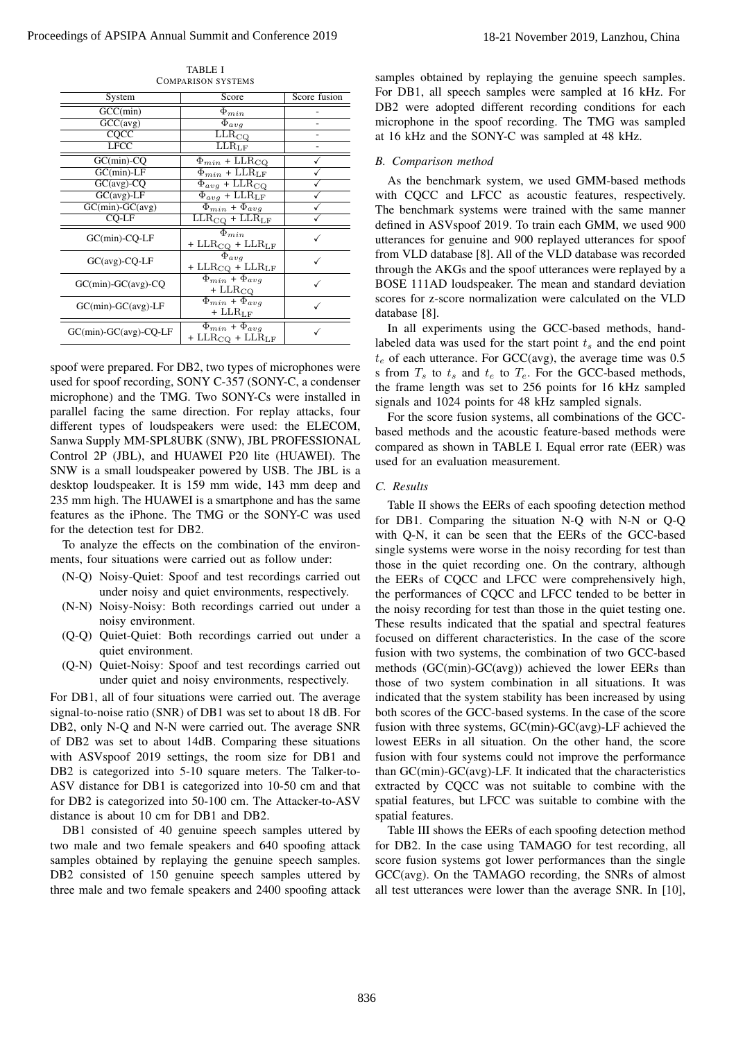| System                              | Score                                                                            | Score fusion |
|-------------------------------------|----------------------------------------------------------------------------------|--------------|
| GCC(min)                            | $\Phi_{min}$                                                                     |              |
| $GCC(\text{avg})$                   | $\overline{\Phi}_{avg}$                                                          |              |
| CQCC                                | $\overline{\text{LLR}}_{\text{CQ}}$                                              |              |
| <b>LFCC</b>                         | $\overline{\text{LLR}}_{\text{LF}}$                                              |              |
| $GC(min)$ - $CQ$                    | $\Phi_{min}$ + LLR <sub>CQ</sub>                                                 |              |
| $GC(min)$ -LF                       | $\Phi_{min}$ + LLR <sub>LF</sub>                                                 |              |
| $GC(avg)$ - $CQ$                    | $\Phi_{avg}$ + LLR <sub>CQ</sub>                                                 |              |
| $GC(avg)$ -LF                       | $\Phi_{avg}$ + LLR <sub>LF</sub>                                                 |              |
| $GC(min)$ - $GC(avg)$               | $\Phi_{min} + \Phi_{avg}$                                                        |              |
| $CO-LF$                             | $LLR_{CQ} + LLR_{LF}$                                                            |              |
| $GC(min)$ - $CQ$ - $LF$             | $\overline{\Phi_{min}}$<br>+ $\rm LLR_{CQ}$ + $\rm LLR_{LF}$                     |              |
| $GC(avg)$ - $CQ$ - $LF$             | $\overline{\Phi_{avg}}$<br>+ $\text{LLR}_{\text{CQ}}$ + $\text{LLR}_{\text{LF}}$ |              |
| $GC(min)$ - $GC(avg)$ - $CQ$        | $\Phi_{min}$ + $\Phi_{avg}$<br>$+$ LLR <sub>CQ</sub>                             |              |
| $GC(min)$ - $GC(avg)$ -LF           | $\Phi_{min} + \Phi_{avg}$<br>$+$ LLR <sub>LF</sub>                               |              |
| $GC(min)$ - $GC(avg)$ - $CQ$ - $LF$ | $\Phi_{min}$ + $\Phi_{avg}$<br>+ $LLR_{CO}$ + $LLR_{LF}$                         |              |

TABLE I COMPARISON SYSTEMS

spoof were prepared. For DB2, two types of microphones were used for spoof recording, SONY C-357 (SONY-C, a condenser microphone) and the TMG. Two SONY-Cs were installed in parallel facing the same direction. For replay attacks, four different types of loudspeakers were used: the ELECOM, Sanwa Supply MM-SPL8UBK (SNW), JBL PROFESSIONAL Control 2P (JBL), and HUAWEI P20 lite (HUAWEI). The SNW is a small loudspeaker powered by USB. The JBL is a desktop loudspeaker. It is 159 mm wide, 143 mm deep and 235 mm high. The HUAWEI is a smartphone and has the same features as the iPhone. The TMG or the SONY-C was used for the detection test for DB2.

To analyze the effects on the combination of the environments, four situations were carried out as follow under:

- (N-Q) Noisy-Quiet: Spoof and test recordings carried out under noisy and quiet environments, respectively.
- (N-N) Noisy-Noisy: Both recordings carried out under a noisy environment.
- (Q-Q) Quiet-Quiet: Both recordings carried out under a quiet environment.
- (Q-N) Quiet-Noisy: Spoof and test recordings carried out under quiet and noisy environments, respectively.

For DB1, all of four situations were carried out. The average signal-to-noise ratio (SNR) of DB1 was set to about 18 dB. For DB2, only N-Q and N-N were carried out. The average SNR of DB2 was set to about 14dB. Comparing these situations with ASVspoof 2019 settings, the room size for DB1 and DB2 is categorized into 5-10 square meters. The Talker-to-ASV distance for DB1 is categorized into 10-50 cm and that for DB2 is categorized into 50-100 cm. The Attacker-to-ASV distance is about 10 cm for DB1 and DB2.

DB1 consisted of 40 genuine speech samples uttered by two male and two female speakers and 640 spoofing attack samples obtained by replaying the genuine speech samples. DB2 consisted of 150 genuine speech samples uttered by three male and two female speakers and 2400 spoofing attack

samples obtained by replaying the genuine speech samples. For DB1, all speech samples were sampled at 16 kHz. For DB2 were adopted different recording conditions for each microphone in the spoof recording. The TMG was sampled at 16 kHz and the SONY-C was sampled at 48 kHz.

#### *B. Comparison method*

As the benchmark system, we used GMM-based methods with CQCC and LFCC as acoustic features, respectively. The benchmark systems were trained with the same manner defined in ASVspoof 2019. To train each GMM, we used 900 utterances for genuine and 900 replayed utterances for spoof from VLD database [8]. All of the VLD database was recorded through the AKGs and the spoof utterances were replayed by a BOSE 111AD loudspeaker. The mean and standard deviation scores for z-score normalization were calculated on the VLD database [8].

In all experiments using the GCC-based methods, handlabeled data was used for the start point *t<sup>s</sup>* and the end point  $t_e$  of each utterance. For GCC(avg), the average time was  $0.5$ s from  $T_s$  to  $t_s$  and  $t_e$  to  $T_e$ . For the GCC-based methods, the frame length was set to 256 points for 16 kHz sampled signals and 1024 points for 48 kHz sampled signals.

For the score fusion systems, all combinations of the GCCbased methods and the acoustic feature-based methods were compared as shown in TABLE I. Equal error rate (EER) was used for an evaluation measurement.

## *C. Results*

Table II shows the EERs of each spoofing detection method for DB1. Comparing the situation N-Q with N-N or Q-Q with Q-N, it can be seen that the EERs of the GCC-based single systems were worse in the noisy recording for test than those in the quiet recording one. On the contrary, although the EERs of CQCC and LFCC were comprehensively high, the performances of CQCC and LFCC tended to be better in the noisy recording for test than those in the quiet testing one. These results indicated that the spatial and spectral features focused on different characteristics. In the case of the score fusion with two systems, the combination of two GCC-based methods (GC(min)-GC(avg)) achieved the lower EERs than those of two system combination in all situations. It was indicated that the system stability has been increased by using both scores of the GCC-based systems. In the case of the score fusion with three systems, GC(min)-GC(avg)-LF achieved the lowest EERs in all situation. On the other hand, the score fusion with four systems could not improve the performance than GC(min)-GC(avg)-LF. It indicated that the characteristics extracted by CQCC was not suitable to combine with the spatial features, but LFCC was suitable to combine with the spatial features. **EVEN Annual Summit and the system of the system of the system of the system of the system of the system of the system of the system of the system of the system of the system of the system of the system of the system of t** 

Table III shows the EERs of each spoofing detection method for DB2. In the case using TAMAGO for test recording, all score fusion systems got lower performances than the single GCC(avg). On the TAMAGO recording, the SNRs of almost all test utterances were lower than the average SNR. In [10],